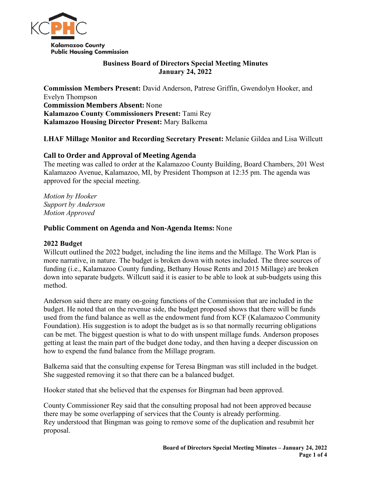

# **Business Board of Directors Special Meeting Minutes January 24, 2022**

**Commission Members Present:** David Anderson, Patrese Griffin, Gwendolyn Hooker, and Evelyn Thompson **Commission Members Absent:** None **Kalamazoo County Commissioners Present:** Tami Rey **Kalamazoo Housing Director Present:** Mary Balkema

# **LHAF Millage Monitor and Recording Secretary Present:** Melanie Gildea and Lisa Willcutt

# **Call to Order and Approval of Meeting Agenda**

The meeting was called to order at the Kalamazoo County Building, Board Chambers, 201 West Kalamazoo Avenue, Kalamazoo, MI, by President Thompson at 12:35 pm. The agenda was approved for the special meeting.

*Motion by Hooker Support by Anderson Motion Approved*

# **Public Comment on Agenda and Non-Agenda Items:** None

#### **2022 Budget**

Willcutt outlined the 2022 budget, including the line items and the Millage. The Work Plan is more narrative, in nature. The budget is broken down with notes included. The three sources of funding (i.e., Kalamazoo County funding, Bethany House Rents and 2015 Millage) are broken down into separate budgets. Willcutt said it is easier to be able to look at sub-budgets using this method.

Anderson said there are many on-going functions of the Commission that are included in the budget. He noted that on the revenue side, the budget proposed shows that there will be funds used from the fund balance as well as the endowment fund from KCF (Kalamazoo Community Foundation). His suggestion is to adopt the budget as is so that normally recurring obligations can be met. The biggest question is what to do with unspent millage funds. Anderson proposes getting at least the main part of the budget done today, and then having a deeper discussion on how to expend the fund balance from the Millage program.

Balkema said that the consulting expense for Teresa Bingman was still included in the budget. She suggested removing it so that there can be a balanced budget.

Hooker stated that she believed that the expenses for Bingman had been approved.

County Commissioner Rey said that the consulting proposal had not been approved because there may be some overlapping of services that the County is already performing. Rey understood that Bingman was going to remove some of the duplication and resubmit her proposal.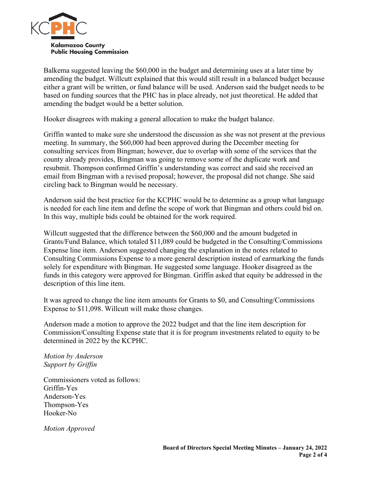

Balkema suggested leaving the \$60,000 in the budget and determining uses at a later time by amending the budget. Willcutt explained that this would still result in a balanced budget because either a grant will be written, or fund balance will be used. Anderson said the budget needs to be based on funding sources that the PHC has in place already, not just theoretical. He added that amending the budget would be a better solution.

Hooker disagrees with making a general allocation to make the budget balance.

Griffin wanted to make sure she understood the discussion as she was not present at the previous meeting. In summary, the \$60,000 had been approved during the December meeting for consulting services from Bingman; however, due to overlap with some of the services that the county already provides, Bingman was going to remove some of the duplicate work and resubmit. Thompson confirmed Griffin's understanding was correct and said she received an email from Bingman with a revised proposal; however, the proposal did not change. She said circling back to Bingman would be necessary.

Anderson said the best practice for the KCPHC would be to determine as a group what language is needed for each line item and define the scope of work that Bingman and others could bid on. In this way, multiple bids could be obtained for the work required.

Willcutt suggested that the difference between the \$60,000 and the amount budgeted in Grants/Fund Balance, which totaled \$11,089 could be budgeted in the Consulting/Commissions Expense line item. Anderson suggested changing the explanation in the notes related to Consulting Commissions Expense to a more general description instead of earmarking the funds solely for expenditure with Bingman. He suggested some language. Hooker disagreed as the funds in this category were approved for Bingman. Griffin asked that equity be addressed in the description of this line item.

It was agreed to change the line item amounts for Grants to \$0, and Consulting/Commissions Expense to \$11,098. Willcutt will make those changes.

Anderson made a motion to approve the 2022 budget and that the line item description for Commission/Consulting Expense state that it is for program investments related to equity to be determined in 2022 by the KCPHC.

*Motion by Anderson Support by Griffin*

Commissioners voted as follows: Griffin-Yes Anderson-Yes Thompson-Yes Hooker-No

*Motion Approved*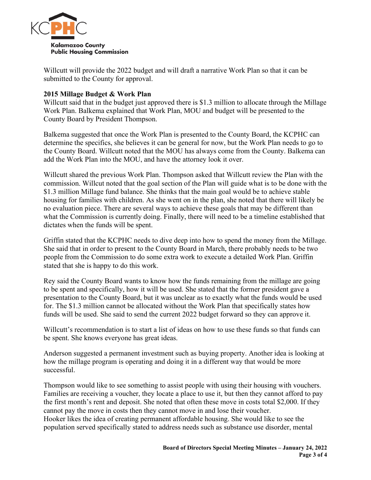

Willcutt will provide the 2022 budget and will draft a narrative Work Plan so that it can be submitted to the County for approval.

### **2015 Millage Budget & Work Plan**

Willcutt said that in the budget just approved there is \$1.3 million to allocate through the Millage Work Plan. Balkema explained that Work Plan, MOU and budget will be presented to the County Board by President Thompson.

Balkema suggested that once the Work Plan is presented to the County Board, the KCPHC can determine the specifics, she believes it can be general for now, but the Work Plan needs to go to the County Board. Willcutt noted that the MOU has always come from the County. Balkema can add the Work Plan into the MOU, and have the attorney look it over.

Willcutt shared the previous Work Plan. Thompson asked that Willcutt review the Plan with the commission. Willcut noted that the goal section of the Plan will guide what is to be done with the \$1.3 million Millage fund balance. She thinks that the main goal would be to achieve stable housing for families with children. As she went on in the plan, she noted that there will likely be no evaluation piece. There are several ways to achieve these goals that may be different than what the Commission is currently doing. Finally, there will need to be a timeline established that dictates when the funds will be spent.

Griffin stated that the KCPHC needs to dive deep into how to spend the money from the Millage. She said that in order to present to the County Board in March, there probably needs to be two people from the Commission to do some extra work to execute a detailed Work Plan. Griffin stated that she is happy to do this work.

Rey said the County Board wants to know how the funds remaining from the millage are going to be spent and specifically, how it will be used. She stated that the former president gave a presentation to the County Board, but it was unclear as to exactly what the funds would be used for. The \$1.3 million cannot be allocated without the Work Plan that specifically states how funds will be used. She said to send the current 2022 budget forward so they can approve it.

Willcutt's recommendation is to start a list of ideas on how to use these funds so that funds can be spent. She knows everyone has great ideas.

Anderson suggested a permanent investment such as buying property. Another idea is looking at how the millage program is operating and doing it in a different way that would be more successful.

Thompson would like to see something to assist people with using their housing with vouchers. Families are receiving a voucher, they locate a place to use it, but then they cannot afford to pay the first month's rent and deposit. She noted that often these move in costs total \$2,000. If they cannot pay the move in costs then they cannot move in and lose their voucher. Hooker likes the idea of creating permanent affordable housing. She would like to see the population served specifically stated to address needs such as substance use disorder, mental